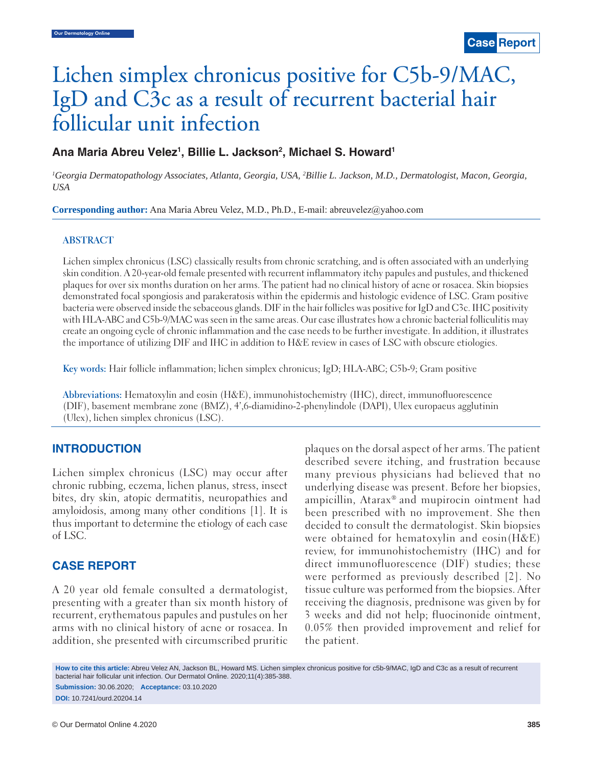# Lichen simplex chronicus positive for C5b-9/MAC, IgD and C3c as a result of recurrent bacterial hair follicular unit infection

# Ana Maria Abreu Velez<sup>1</sup>, Billie L. Jackson<sup>2</sup>, Michael S. Howard<sup>1</sup>

*1 Georgia Dermatopathology Associates, Atlanta, Georgia, USA, 2 Billie L. Jackson, M.D., Dermatologist, Macon, Georgia, USA*

**Corresponding author:** Ana Maria Abreu Velez, M.D., Ph.D., E-mail: abreuvelez@yahoo.com

#### **ABSTRACT**

Lichen simplex chronicus (LSC) classically results from chronic scratching, and is often associated with an underlying skin condition. A 20-year-old female presented with recurrent inflammatory itchy papules and pustules, and thickened plaques for over six months duration on her arms. The patient had no clinical history of acne or rosacea. Skin biopsies demonstrated focal spongiosis and parakeratosis within the epidermis and histologic evidence of LSC. Gram positive bacteria were observed inside the sebaceous glands. DIF in the hair follicles was positive for IgD and C3c. IHC positivity with HLA-ABC and C5b-9/MAC was seen in the same areas. Our case illustrates how a chronic bacterial folliculitis may create an ongoing cycle of chronic inflammation and the case needs to be further investigate. In addition, it illustrates the importance of utilizing DIF and IHC in addition to H&E review in cases of LSC with obscure etiologies.

**Key words:** Hair follicle inflammation; lichen simplex chronicus; IgD; HLA-ABC; C5b-9; Gram positive

**Abbreviations:** Hematoxylin and eosin (H&E), immunohistochemistry (IHC), direct, immunofluorescence (DIF), basement membrane zone (BMZ), 4',6-diamidino-2-phenylindole (DAPI), Ulex europaeus agglutinin (Ulex), lichen simplex chronicus (LSC).

#### **INTRODUCTION**

Lichen simplex chronicus (LSC) may occur after chronic rubbing, eczema, lichen planus, stress, insect bites, dry skin, atopic dermatitis, neuropathies and amyloidosis, among many other conditions [1]. It is thus important to determine the etiology of each case of LSC.

# **CASE REPORT**

A 20 year old female consulted a dermatologist, presenting with a greater than six month history of recurrent, erythematous papules and pustules on her arms with no clinical history of acne or rosacea. In addition, she presented with circumscribed pruritic plaques on the dorsal aspect of her arms. The patient described severe itching, and frustration because many previous physicians had believed that no underlying disease was present. Before her biopsies, ampicillin, Atarax® and mupirocin ointment had been prescribed with no improvement. She then decided to consult the dermatologist. Skin biopsies were obtained for hematoxylin and eosin(H&E) review, for immunohistochemistry (IHC) and for direct immunofluorescence (DIF) studies; these were performed as previously described [2]. No tissue culture was performed from the biopsies. After receiving the diagnosis, prednisone was given by for 3 weeks and did not help; fluocinonide ointment, 0.05% then provided improvement and relief for the patient.

**How to cite this article:** Abreu Velez AN, Jackson BL, Howard MS. Lichen simplex chronicus positive for c5b-9/MAC, IgD and C3c as a result of recurrent bacterial hair follicular unit infection. Our Dermatol Online. 2020;11(4):385-388. **Submission:** 30.06.2020; **Acceptance:** 03.10.2020

**DOI:** 10.7241/ourd.20204.14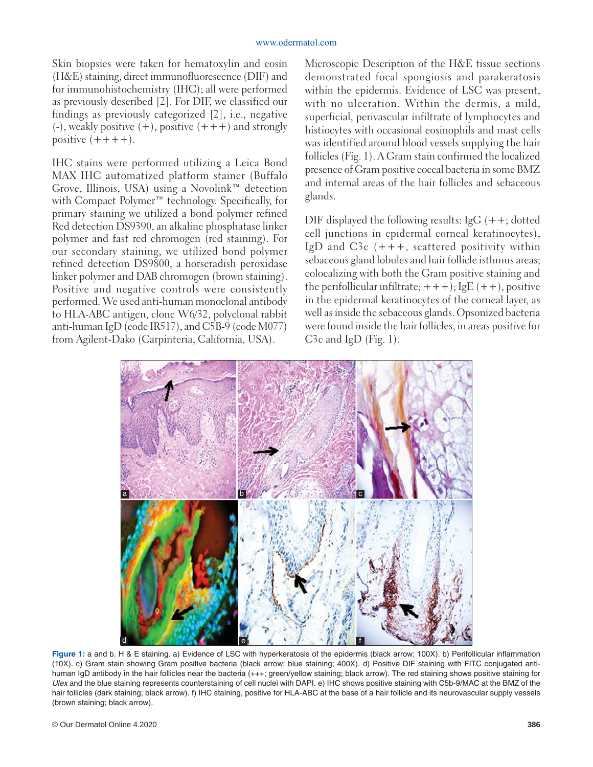Skin biopsies were taken for hematoxylin and eosin (H&E) staining, direct immunofluorescence (DIF) and for immunohistochemistry (IHC); all were performed as previously described [2]. For DIF, we classified our findings as previously categorized [2], i.e., negative  $(-)$ , weakly positive  $(+)$ , positive  $(+++)$  and strongly positive  $(++++)$ .

IHC stains were performed utilizing a Leica Bond MAX IHC automatized platform stainer (Buffalo Grove, Illinois, USA) using a Novolink™ detection with Compact Polymer<sup>™</sup> technology. Specifically, for primary staining we utilized a bond polymer refined Red detection DS9390, an alkaline phosphatase linker polymer and fast red chromogen (red staining). For our secondary staining, we utilized bond polymer refined detection DS9800, a horseradish peroxidase linker polymer and DAB chromogen (brown staining). Positive and negative controls were consistently performed. We used anti-human monoclonal antibody to HLA-ABC antigen, clone W6/32, polyclonal rabbit anti-human IgD (code IR517), and C5B-9 (code M077) from Agilent-Dako (Carpinteria, California, USA).

Microscopic Description of the H&E tissue sections demonstrated focal spongiosis and parakeratosis within the epidermis. Evidence of LSC was present, with no ulceration. Within the dermis, a mild, superficial, perivascular infiltrate of lymphocytes and histiocytes with occasional eosinophils and mast cells was identified around blood vessels supplying the hair follicles (Fig. 1). A Gram stain confirmed the localized presence of Gram positive coccal bacteria in some BMZ and internal areas of the hair follicles and sebaceous glands.

DIF displayed the following results:  $IgG$  (++; dotted cell junctions in epidermal corneal keratinocytes), IgD and  $C3c$  (+++, scattered positivity within sebaceous gland lobules and hair follicle isthmus areas; colocalizing with both the Gram positive staining and the perifollicular infiltrate;  $++$ ); IgE  $(++)$ , positive in the epidermal keratinocytes of the corneal layer, as well as inside the sebaceous glands. Opsonized bacteria were found inside the hair follicles, in areas positive for C3c and IgD (Fig. 1).



Figure 1: a and b. H & E staining. a) Evidence of LSC with hyperkeratosis of the epidermis (black arrow; 100X). b) Perifollicular inflammation (10X). c) Gram stain showing Gram positive bacteria (black arrow; blue staining; 400X). d) Positive DIF staining with FITC conjugated antihuman IgD antibody in the hair follicles near the bacteria (+++; green/yellow staining; black arrow). The red staining shows positive staining for *Ulex* and the blue staining represents counterstaining of cell nuclei with DAPI. e) IHC shows positive staining with C5b-9/MAC at the BMZ of the hair follicles (dark staining; black arrow). f) IHC staining, positive for HLA-ABC at the base of a hair follicle and its neurovascular supply vessels (brown staining; black arrow).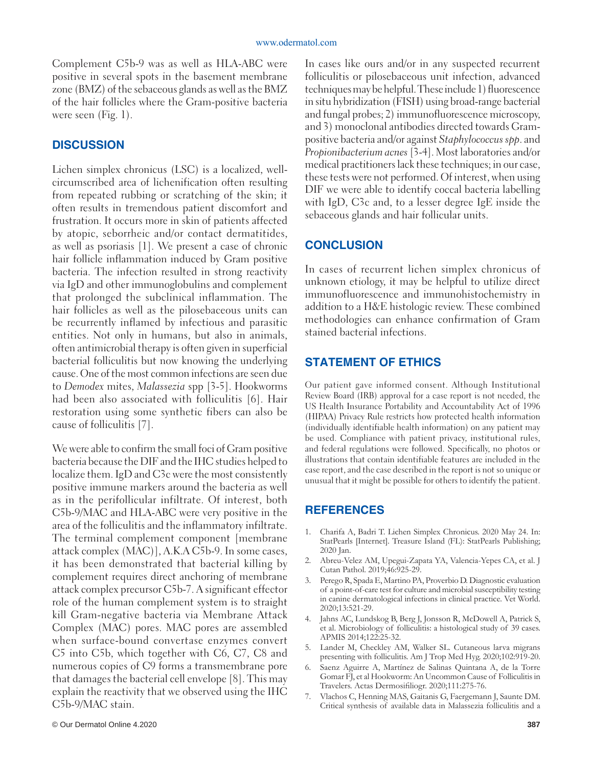Complement C5b-9 was as well as HLA-ABC were positive in several spots in the basement membrane zone (BMZ) of the sebaceous glands as well as the BMZ of the hair follicles where the Gram-positive bacteria were seen (Fig. 1).

# **DISCUSSION**

Lichen simplex chronicus (LSC) is a localized, wellcircumscribed area of lichenification often resulting from repeated rubbing or scratching of the skin; it often results in tremendous patient discomfort and frustration. It occurs more in skin of patients affected by atopic, seborrheic and/or contact dermatitides, as well as psoriasis [1]. We present a case of chronic hair follicle inflammation induced by Gram positive bacteria. The infection resulted in strong reactivity via IgD and other immunoglobulins and complement that prolonged the subclinical inflammation. The hair follicles as well as the pilosebaceous units can be recurrently inflamed by infectious and parasitic entities. Not only in humans, but also in animals, often antimicrobial therapy is often given in superficial bacterial folliculitis but now knowing the underlying cause. One of the most common infections are seen due to *Demodex* mites, *Malassezia* spp [3-5]. Hookworms had been also associated with folliculitis [6]. Hair restoration using some synthetic fibers can also be cause of folliculitis [7].

We were able to confirm the small foci of Gram positive bacteria because the DIF and the IHC studies helped to localize them. IgD and C3c were the most consistently positive immune markers around the bacteria as well as in the perifollicular infiltrate. Of interest, both C5b-9/MAC and HLA-ABC were very positive in the area of the folliculitis and the inflammatory infiltrate. The terminal complement component [membrane attack complex (MAC)], A.K.A C5b-9. In some cases, it has been demonstrated that bacterial killing by complement requires direct anchoring of membrane attack complex precursor C5b-7. A significant effector role of the human complement system is to straight kill Gram-negative bacteria via Membrane Attack Complex (MAC) pores. MAC pores are assembled when surface-bound convertase enzymes convert C5 into C5b, which together with C6, C7, C8 and numerous copies of C9 forms a transmembrane pore that damages the bacterial cell envelope [8]. This may explain the reactivity that we observed using the IHC C5b-9/MAC stain.

In cases like ours and/or in any suspected recurrent folliculitis or pilosebaceous unit infection, advanced techniques may be helpful. These include 1) fluorescence in situ hybridization (FISH) using broad-range bacterial and fungal probes; 2) immunofluorescence microscopy, and 3) monoclonal antibodies directed towards Grampositive bacteria and/or against *Staphylococcus spp*. and *Propionibacterium acnes* [3-4]. Most laboratories and/or medical practitioners lack these techniques; in our case, these tests were not performed. Of interest, when using DIF we were able to identify coccal bacteria labelling with IgD, C3c and, to a lesser degree IgE inside the sebaceous glands and hair follicular units.

# **CONCLUSION**

In cases of recurrent lichen simplex chronicus of unknown etiology, it may be helpful to utilize direct immunofluorescence and immunohistochemistry in addition to a H&E histologic review. These combined methodologies can enhance confirmation of Gram stained bacterial infections.

# **STATEMENT OF ETHICS**

Our patient gave informed consent. Although Institutional Review Board (IRB) approval for a case report is not needed, the US Health Insurance Portability and Accountability Act of 1996 (HIPAA) Privacy Rule restricts how protected health information (individually identifiable health information) on any patient may be used. Compliance with patient privacy, institutional rules, and federal regulations were followed. Specifically, no photos or illustrations that contain identifiable features are included in the case report, and the case described in the report is not so unique or unusual that it might be possible for others to identify the patient.

# **REFERENCES**

- 1. Charifa A, Badri T. Lichen Simplex Chronicus. 2020 May 24. In: StatPearls [Internet]. Treasure Island (FL): StatPearls Publishing; 2020 Jan.
- 2. Abreu-Velez AM, Upegui-Zapata YA, Valencia-Yepes CA, et al. J Cutan Pathol. 2019;46:925-29.
- 3. Perego R, Spada E, Martino PA, Proverbio D. Diagnostic evaluation of a point-of-care test for culture and microbial susceptibility testing in canine dermatological infections in clinical practice. Vet World. 2020;13:521-29.
- 4. Jahns AC, Lundskog B, Berg J, Jonsson R, McDowell A, Patrick S, et al. Microbiology of folliculitis: a histological study of 39 cases. APMIS 2014;122:25-32.
- 5. Lander M, Checkley AM, Walker SL. Cutaneous larva migrans presenting with folliculitis. Am J Trop Med Hyg. 2020;102:919-20.
- 6. Saenz Aguirre A, Martínez de Salinas Quintana A, de la Torre Gomar FJ, et al Hookworm: An Uncommon Cause of Folliculitis in Travelers. Actas Dermosifiliogr. 2020;111:275-76.
- 7. Vlachos C, Henning MAS, Gaitanis G, Faergemann J, Saunte DM. Critical synthesis of available data in Malassezia folliculitis and a